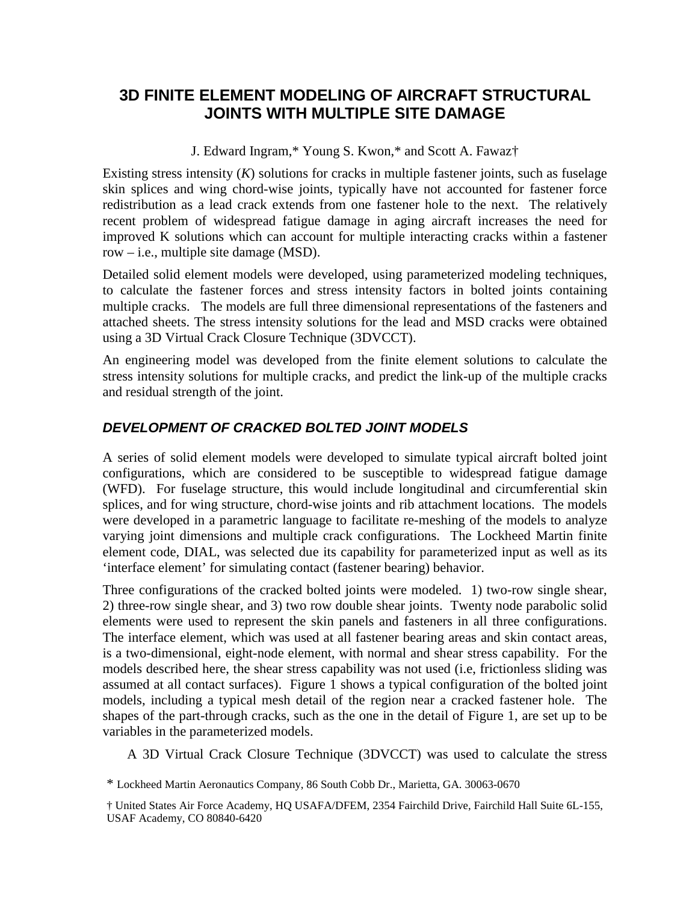# **3D FINITE ELEMENT MODELING OF AIRCRAFT STRUCTURAL JOINTS WITH MULTIPLE SITE DAMAGE**

J. Edward Ingram,\* Young S. Kwon,\* and Scott A. Fawaz†

Existing stress intensity  $(K)$  solutions for cracks in multiple fastener joints, such as fuselage skin splices and wing chord-wise joints, typically have not accounted for fastener force redistribution as a lead crack extends from one fastener hole to the next. The relatively recent problem of widespread fatigue damage in aging aircraft increases the need for improved K solutions which can account for multiple interacting cracks within a fastener row – i.e., multiple site damage (MSD).

Detailed solid element models were developed, using parameterized modeling techniques, to calculate the fastener forces and stress intensity factors in bolted joints containing multiple cracks. The models are full three dimensional representations of the fasteners and attached sheets. The stress intensity solutions for the lead and MSD cracks were obtained using a 3D Virtual Crack Closure Technique (3DVCCT).

An engineering model was developed from the finite element solutions to calculate the stress intensity solutions for multiple cracks, and predict the link-up of the multiple cracks and residual strength of the joint.

## *DEVELOPMENT OF CRACKED BOLTED JOINT MODELS*

A series of solid element models were developed to simulate typical aircraft bolted joint configurations, which are considered to be susceptible to widespread fatigue damage (WFD). For fuselage structure, this would include longitudinal and circumferential skin splices, and for wing structure, chord-wise joints and rib attachment locations. The models were developed in a parametric language to facilitate re-meshing of the models to analyze varying joint dimensions and multiple crack configurations. The Lockheed Martin finite element code, DIAL, was selected due its capability for parameterized input as well as its 'interface element' for simulating contact (fastener bearing) behavior.

Three configurations of the cracked bolted joints were modeled. 1) two-row single shear, 2) three-row single shear, and 3) two row double shear joints. Twenty node parabolic solid elements were used to represent the skin panels and fasteners in all three configurations. The interface element, which was used at all fastener bearing areas and skin contact areas, is a two-dimensional, eight-node element, with normal and shear stress capability. For the models described here, the shear stress capability was not used (i.e, frictionless sliding was assumed at all contact surfaces). Figure 1 shows a typical configuration of the bolted joint models, including a typical mesh detail of the region near a cracked fastener hole. The shapes of the part-through cracks, such as the one in the detail of Figure 1, are set up to be variables in the parameterized models.

A 3D Virtual Crack Closure Technique (3DVCCT) was used to calculate the stress

\* Lockheed Martin Aeronautics Company, 86 South Cobb Dr., Marietta, GA. 30063-0670

<sup>†</sup> United States Air Force Academy, HQ USAFA/DFEM, 2354 Fairchild Drive, Fairchild Hall Suite 6L-155, USAF Academy, CO 80840-6420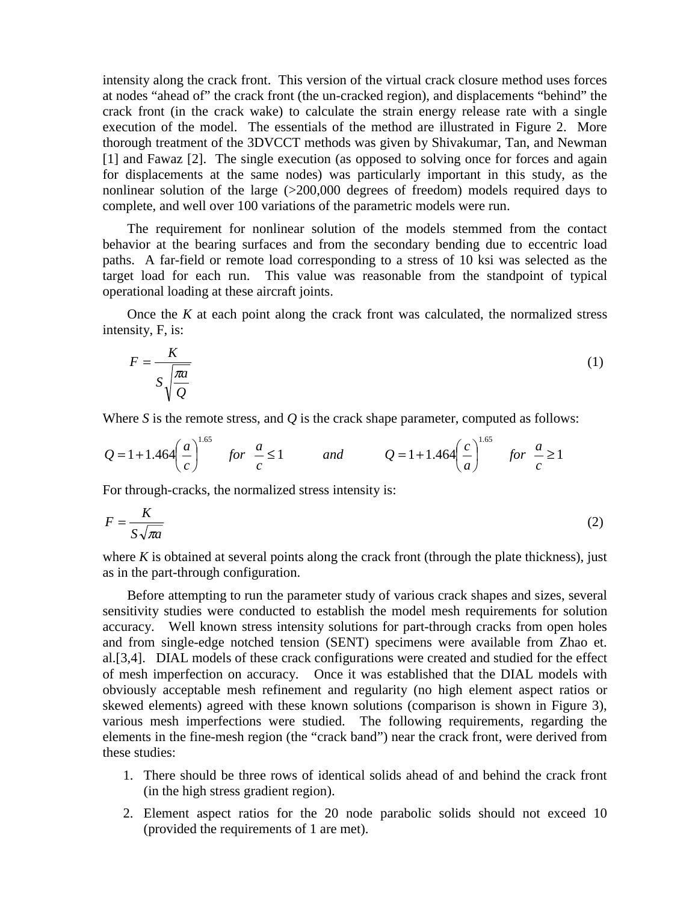intensity along the crack front. This version of the virtual crack closure method uses forces at nodes "ahead of" the crack front (the un-cracked region), and displacements "behind" the crack front (in the crack wake) to calculate the strain energy release rate with a single execution of the model. The essentials of the method are illustrated in Figure 2. More thorough treatment of the 3DVCCT methods was given by Shivakumar, Tan, and Newman [1] and Fawaz [2]. The single execution (as opposed to solving once for forces and again for displacements at the same nodes) was particularly important in this study, as the nonlinear solution of the large (>200,000 degrees of freedom) models required days to complete, and well over 100 variations of the parametric models were run.

 The requirement for nonlinear solution of the models stemmed from the contact behavior at the bearing surfaces and from the secondary bending due to eccentric load paths. A far-field or remote load corresponding to a stress of 10 ksi was selected as the target load for each run. This value was reasonable from the standpoint of typical operational loading at these aircraft joints.

 Once the *K* at each point along the crack front was calculated, the normalized stress intensity, F, is:

$$
F = \frac{K}{S\sqrt{\frac{\pi a}{Q}}}
$$
 (1)

Where *S* is the remote stress, and *Q* is the crack shape parameter, computed as follows:

$$
Q = 1 + 1.464 \left(\frac{a}{c}\right)^{1.65} \quad \text{for} \quad \frac{a}{c} \le 1 \qquad \text{and} \qquad Q = 1 + 1.464 \left(\frac{c}{a}\right)^{1.65} \quad \text{for} \quad \frac{a}{c} \ge 1
$$

For through-cracks, the normalized stress intensity is:

$$
F = \frac{K}{S\sqrt{\pi a}}
$$
 (2)

where  $K$  is obtained at several points along the crack front (through the plate thickness), just as in the part-through configuration.

 Before attempting to run the parameter study of various crack shapes and sizes, several sensitivity studies were conducted to establish the model mesh requirements for solution accuracy. Well known stress intensity solutions for part-through cracks from open holes and from single-edge notched tension (SENT) specimens were available from Zhao et. al.[3,4]. DIAL models of these crack configurations were created and studied for the effect of mesh imperfection on accuracy. Once it was established that the DIAL models with obviously acceptable mesh refinement and regularity (no high element aspect ratios or skewed elements) agreed with these known solutions (comparison is shown in Figure 3), various mesh imperfections were studied. The following requirements, regarding the elements in the fine-mesh region (the "crack band") near the crack front, were derived from these studies:

- 1. There should be three rows of identical solids ahead of and behind the crack front (in the high stress gradient region).
- 2. Element aspect ratios for the 20 node parabolic solids should not exceed 10 (provided the requirements of 1 are met).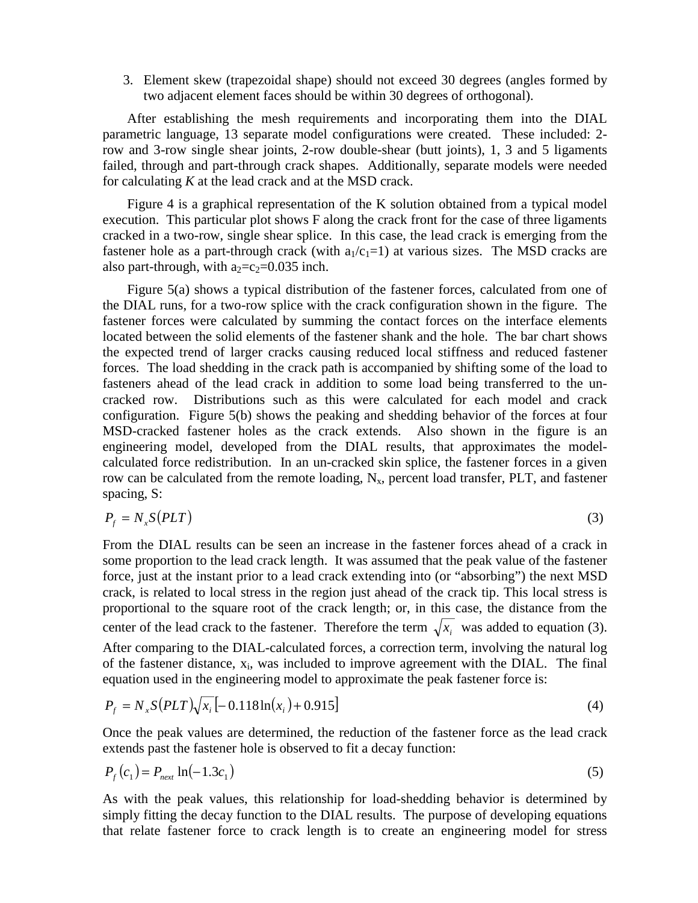3. Element skew (trapezoidal shape) should not exceed 30 degrees (angles formed by two adjacent element faces should be within 30 degrees of orthogonal).

 After establishing the mesh requirements and incorporating them into the DIAL parametric language, 13 separate model configurations were created. These included: 2 row and 3-row single shear joints, 2-row double-shear (butt joints), 1, 3 and 5 ligaments failed, through and part-through crack shapes. Additionally, separate models were needed for calculating *K* at the lead crack and at the MSD crack.

Figure 4 is a graphical representation of the K solution obtained from a typical model execution. This particular plot shows F along the crack front for the case of three ligaments cracked in a two-row, single shear splice. In this case, the lead crack is emerging from the fastener hole as a part-through crack (with  $a_1/c_1=1$ ) at various sizes. The MSD cracks are also part-through, with  $a_2 = c_2 = 0.035$  inch.

 Figure 5(a) shows a typical distribution of the fastener forces, calculated from one of the DIAL runs, for a two-row splice with the crack configuration shown in the figure. The fastener forces were calculated by summing the contact forces on the interface elements located between the solid elements of the fastener shank and the hole. The bar chart shows the expected trend of larger cracks causing reduced local stiffness and reduced fastener forces. The load shedding in the crack path is accompanied by shifting some of the load to fasteners ahead of the lead crack in addition to some load being transferred to the uncracked row. Distributions such as this were calculated for each model and crack configuration. Figure 5(b) shows the peaking and shedding behavior of the forces at four MSD-cracked fastener holes as the crack extends. Also shown in the figure is an engineering model, developed from the DIAL results, that approximates the modelcalculated force redistribution. In an un-cracked skin splice, the fastener forces in a given row can be calculated from the remote loading,  $N_x$ , percent load transfer, PLT, and fastener spacing, S:

$$
P_f = N_x S(PLT) \tag{3}
$$

From the DIAL results can be seen an increase in the fastener forces ahead of a crack in some proportion to the lead crack length. It was assumed that the peak value of the fastener force, just at the instant prior to a lead crack extending into (or "absorbing") the next MSD crack, is related to local stress in the region just ahead of the crack tip. This local stress is proportional to the square root of the crack length; or, in this case, the distance from the center of the lead crack to the fastener. Therefore the term  $\sqrt{x_i}$  was added to equation (3). After comparing to the DIAL-calculated forces, a correction term, involving the natural log of the fastener distance,  $x_i$ , was included to improve agreement with the DIAL. The final equation used in the engineering model to approximate the peak fastener force is:

$$
P_f = N_x S (PLT) \sqrt{x_i} \left[ -0.118 \ln(x_i) + 0.915 \right] \tag{4}
$$

Once the peak values are determined, the reduction of the fastener force as the lead crack extends past the fastener hole is observed to fit a decay function:

$$
P_f(c_1) = P_{\text{next}} \ln(-1.3c_1) \tag{5}
$$

As with the peak values, this relationship for load-shedding behavior is determined by simply fitting the decay function to the DIAL results. The purpose of developing equations that relate fastener force to crack length is to create an engineering model for stress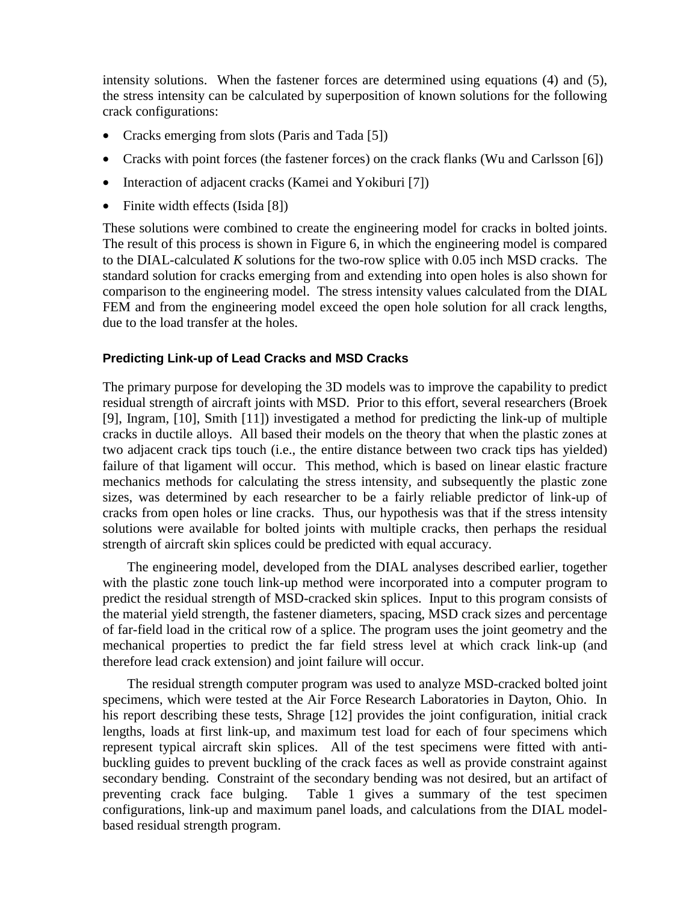intensity solutions. When the fastener forces are determined using equations (4) and (5), the stress intensity can be calculated by superposition of known solutions for the following crack configurations:

- Cracks emerging from slots (Paris and Tada [5])
- Cracks with point forces (the fastener forces) on the crack flanks (Wu and Carlsson [6])
- Interaction of adjacent cracks (Kamei and Yokiburi [7])
- Finite width effects (Isida [8])

These solutions were combined to create the engineering model for cracks in bolted joints. The result of this process is shown in Figure 6, in which the engineering model is compared to the DIAL-calculated *K* solutions for the two-row splice with 0.05 inch MSD cracks. The standard solution for cracks emerging from and extending into open holes is also shown for comparison to the engineering model. The stress intensity values calculated from the DIAL FEM and from the engineering model exceed the open hole solution for all crack lengths, due to the load transfer at the holes.

### **Predicting Link-up of Lead Cracks and MSD Cracks**

The primary purpose for developing the 3D models was to improve the capability to predict residual strength of aircraft joints with MSD. Prior to this effort, several researchers (Broek [9], Ingram, [10], Smith [11]) investigated a method for predicting the link-up of multiple cracks in ductile alloys. All based their models on the theory that when the plastic zones at two adjacent crack tips touch (i.e., the entire distance between two crack tips has yielded) failure of that ligament will occur. This method, which is based on linear elastic fracture mechanics methods for calculating the stress intensity, and subsequently the plastic zone sizes, was determined by each researcher to be a fairly reliable predictor of link-up of cracks from open holes or line cracks. Thus, our hypothesis was that if the stress intensity solutions were available for bolted joints with multiple cracks, then perhaps the residual strength of aircraft skin splices could be predicted with equal accuracy.

 The engineering model, developed from the DIAL analyses described earlier, together with the plastic zone touch link-up method were incorporated into a computer program to predict the residual strength of MSD-cracked skin splices. Input to this program consists of the material yield strength, the fastener diameters, spacing, MSD crack sizes and percentage of far-field load in the critical row of a splice. The program uses the joint geometry and the mechanical properties to predict the far field stress level at which crack link-up (and therefore lead crack extension) and joint failure will occur.

 The residual strength computer program was used to analyze MSD-cracked bolted joint specimens, which were tested at the Air Force Research Laboratories in Dayton, Ohio. In his report describing these tests, Shrage [12] provides the joint configuration, initial crack lengths, loads at first link-up, and maximum test load for each of four specimens which represent typical aircraft skin splices. All of the test specimens were fitted with antibuckling guides to prevent buckling of the crack faces as well as provide constraint against secondary bending. Constraint of the secondary bending was not desired, but an artifact of preventing crack face bulging. Table 1 gives a summary of the test specimen configurations, link-up and maximum panel loads, and calculations from the DIAL modelbased residual strength program.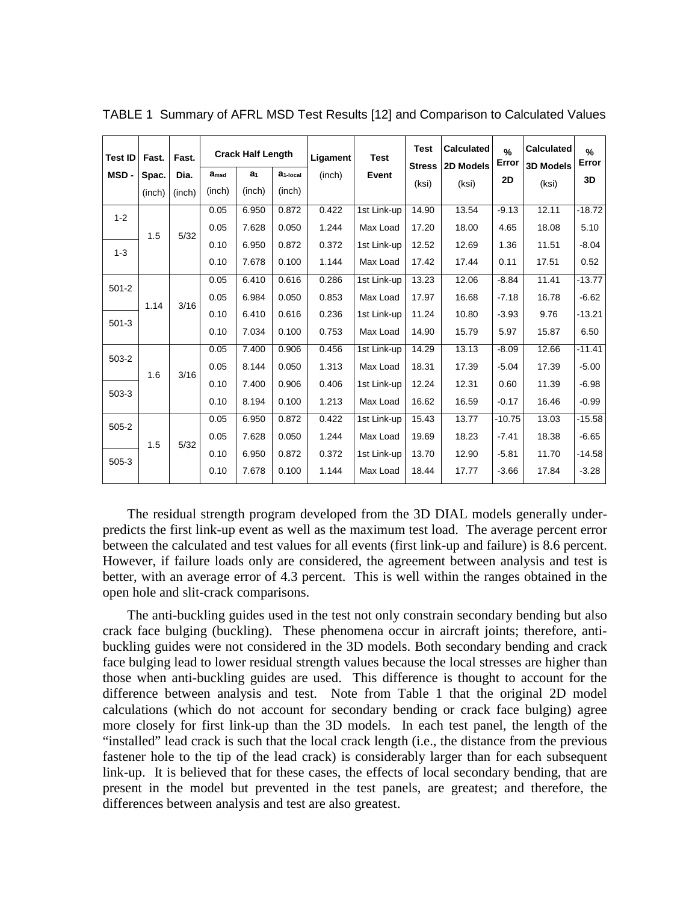| <b>Test ID</b> | Fast.  | Fast.  |                  | <b>Crack Half Length</b> |                      | Ligament<br>(inch) | <b>Test</b><br>Event | <b>Test</b><br><b>Stress</b> | <b>Calculated</b><br>2D Models | %<br>Error | <b>Calculated</b><br><b>3D Models</b> | $\%$<br>Error |
|----------------|--------|--------|------------------|--------------------------|----------------------|--------------------|----------------------|------------------------------|--------------------------------|------------|---------------------------------------|---------------|
| MSD-           | Spac.  | Dia.   | a <sub>msd</sub> | a <sub>1</sub>           | a <sub>1-local</sub> |                    |                      |                              |                                | <b>2D</b>  |                                       | 3D            |
|                | (inch) | (inch) | (inch)           | (inch)                   | (inch)               |                    |                      | (ksi)                        | (ksi)                          |            | (ksi)                                 |               |
| $1 - 2$        | 1.5    | 5/32   | 0.05             | 6.950                    | 0.872                | 0.422              | 1st Link-up          | 14.90                        | 13.54                          | $-9.13$    | 12.11                                 | $-18.72$      |
|                |        |        | 0.05             | 7.628                    | 0.050                | 1.244              | Max Load             | 17.20                        | 18.00                          | 4.65       | 18.08                                 | 5.10          |
| $1 - 3$        |        |        | 0.10             | 6.950                    | 0.872                | 0.372              | 1st Link-up          | 12.52                        | 12.69                          | 1.36       | 11.51                                 | $-8.04$       |
|                |        |        | 0.10             | 7.678                    | 0.100                | 1.144              | Max Load             | 17.42                        | 17.44                          | 0.11       | 17.51                                 | 0.52          |
| $501 - 2$      | 1.14   | 3/16   | 0.05             | 6.410                    | 0.616                | 0.286              | 1st Link-up          | 13.23                        | 12.06                          | $-8.84$    | 11.41                                 | $-13.77$      |
|                |        |        | 0.05             | 6.984                    | 0.050                | 0.853              | Max Load             | 17.97                        | 16.68                          | $-7.18$    | 16.78                                 | $-6.62$       |
| $501-3$        |        |        | 0.10             | 6.410                    | 0.616                | 0.236              | 1st Link-up          | 11.24                        | 10.80                          | $-3.93$    | 9.76                                  | $-13.21$      |
|                |        |        | 0.10             | 7.034                    | 0.100                | 0.753              | Max Load             | 14.90                        | 15.79                          | 5.97       | 15.87                                 | 6.50          |
| $503 - 2$      | 1.6    | 3/16   | 0.05             | 7.400                    | 0.906                | 0.456              | 1st Link-up          | 14.29                        | 13.13                          | $-8.09$    | 12.66                                 | $-11.41$      |
|                |        |        | 0.05             | 8.144                    | 0.050                | 1.313              | Max Load             | 18.31                        | 17.39                          | $-5.04$    | 17.39                                 | $-5.00$       |
|                |        |        | 0.10             | 7.400                    | 0.906                | 0.406              | 1st Link-up          | 12.24                        | 12.31                          | 0.60       | 11.39                                 | $-6.98$       |
| $503-3$        |        |        | 0.10             | 8.194                    | 0.100                | 1.213              | Max Load             | 16.62                        | 16.59                          | $-0.17$    | 16.46                                 | $-0.99$       |
| $505 - 2$      | 1.5    | 5/32   | 0.05             | 6.950                    | 0.872                | 0.422              | 1st Link-up          | 15.43                        | 13.77                          | $-10.75$   | 13.03                                 | $-15.58$      |
|                |        |        | 0.05             | 7.628                    | 0.050                | 1.244              | Max Load             | 19.69                        | 18.23                          | $-7.41$    | 18.38                                 | $-6.65$       |
| $505-3$        |        |        | 0.10             | 6.950                    | 0.872                | 0.372              | 1st Link-up          | 13.70                        | 12.90                          | $-5.81$    | 11.70                                 | -14.58        |
|                |        |        | 0.10             | 7.678                    | 0.100                | 1.144              | Max Load             | 18.44                        | 17.77                          | $-3.66$    | 17.84                                 | $-3.28$       |

TABLE 1 Summary of AFRL MSD Test Results [12] and Comparison to Calculated Values

 The residual strength program developed from the 3D DIAL models generally underpredicts the first link-up event as well as the maximum test load. The average percent error between the calculated and test values for all events (first link-up and failure) is 8.6 percent. However, if failure loads only are considered, the agreement between analysis and test is better, with an average error of 4.3 percent. This is well within the ranges obtained in the open hole and slit-crack comparisons.

 The anti-buckling guides used in the test not only constrain secondary bending but also crack face bulging (buckling). These phenomena occur in aircraft joints; therefore, antibuckling guides were not considered in the 3D models. Both secondary bending and crack face bulging lead to lower residual strength values because the local stresses are higher than those when anti-buckling guides are used. This difference is thought to account for the difference between analysis and test. Note from Table 1 that the original 2D model calculations (which do not account for secondary bending or crack face bulging) agree more closely for first link-up than the 3D models. In each test panel, the length of the "installed" lead crack is such that the local crack length (i.e., the distance from the previous fastener hole to the tip of the lead crack) is considerably larger than for each subsequent link-up. It is believed that for these cases, the effects of local secondary bending, that are present in the model but prevented in the test panels, are greatest; and therefore, the differences between analysis and test are also greatest.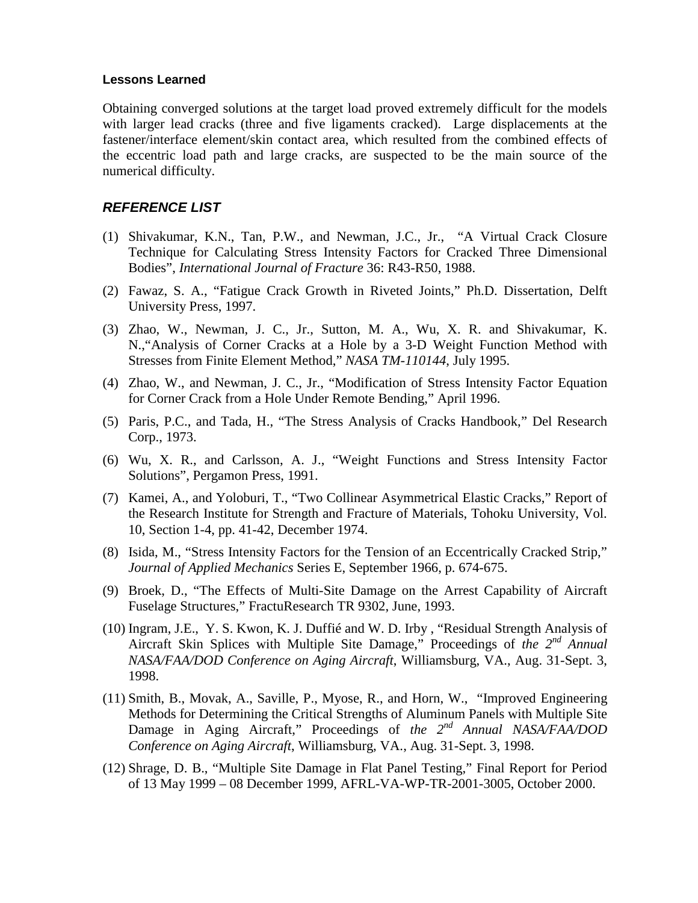#### **Lessons Learned**

Obtaining converged solutions at the target load proved extremely difficult for the models with larger lead cracks (three and five ligaments cracked). Large displacements at the fastener/interface element/skin contact area, which resulted from the combined effects of the eccentric load path and large cracks, are suspected to be the main source of the numerical difficulty.

#### *REFERENCE LIST*

- (1) Shivakumar, K.N., Tan, P.W., and Newman, J.C., Jr., "A Virtual Crack Closure Technique for Calculating Stress Intensity Factors for Cracked Three Dimensional Bodies", *International Journal of Fracture* 36: R43-R50, 1988.
- (2) Fawaz, S. A., "Fatigue Crack Growth in Riveted Joints," Ph.D. Dissertation, Delft University Press, 1997.
- (3) Zhao, W., Newman, J. C., Jr., Sutton, M. A., Wu, X. R. and Shivakumar, K. N.,"Analysis of Corner Cracks at a Hole by a 3-D Weight Function Method with Stresses from Finite Element Method," *NASA TM-110144*, July 1995.
- (4) Zhao, W., and Newman, J. C., Jr., "Modification of Stress Intensity Factor Equation for Corner Crack from a Hole Under Remote Bending," April 1996.
- (5) Paris, P.C., and Tada, H., "The Stress Analysis of Cracks Handbook," Del Research Corp., 1973.
- (6) Wu, X. R., and Carlsson, A. J., "Weight Functions and Stress Intensity Factor Solutions", Pergamon Press, 1991.
- (7) Kamei, A., and Yoloburi, T., "Two Collinear Asymmetrical Elastic Cracks," Report of the Research Institute for Strength and Fracture of Materials, Tohoku University, Vol. 10, Section 1-4, pp. 41-42, December 1974.
- (8) Isida, M., "Stress Intensity Factors for the Tension of an Eccentrically Cracked Strip," *Journal of Applied Mechanics* Series E, September 1966, p. 674-675.
- (9) Broek, D., "The Effects of Multi-Site Damage on the Arrest Capability of Aircraft Fuselage Structures," FractuResearch TR 9302, June, 1993.
- (10) Ingram, J.E., Y. S. Kwon, K. J. Duffié and W. D. Irby , "Residual Strength Analysis of Aircraft Skin Splices with Multiple Site Damage," Proceedings of *the 2nd Annual NASA/FAA/DOD Conference on Aging Aircraft*, Williamsburg, VA., Aug. 31-Sept. 3, 1998.
- (11) Smith, B., Movak, A., Saville, P., Myose, R., and Horn, W., "Improved Engineering Methods for Determining the Critical Strengths of Aluminum Panels with Multiple Site Damage in Aging Aircraft," Proceedings of *the 2<sup>nd</sup> Annual NASA/FAA/DOD Conference on Aging Aircraft*, Williamsburg, VA., Aug. 31-Sept. 3, 1998.
- (12) Shrage, D. B., "Multiple Site Damage in Flat Panel Testing," Final Report for Period of 13 May 1999 – 08 December 1999, AFRL-VA-WP-TR-2001-3005, October 2000.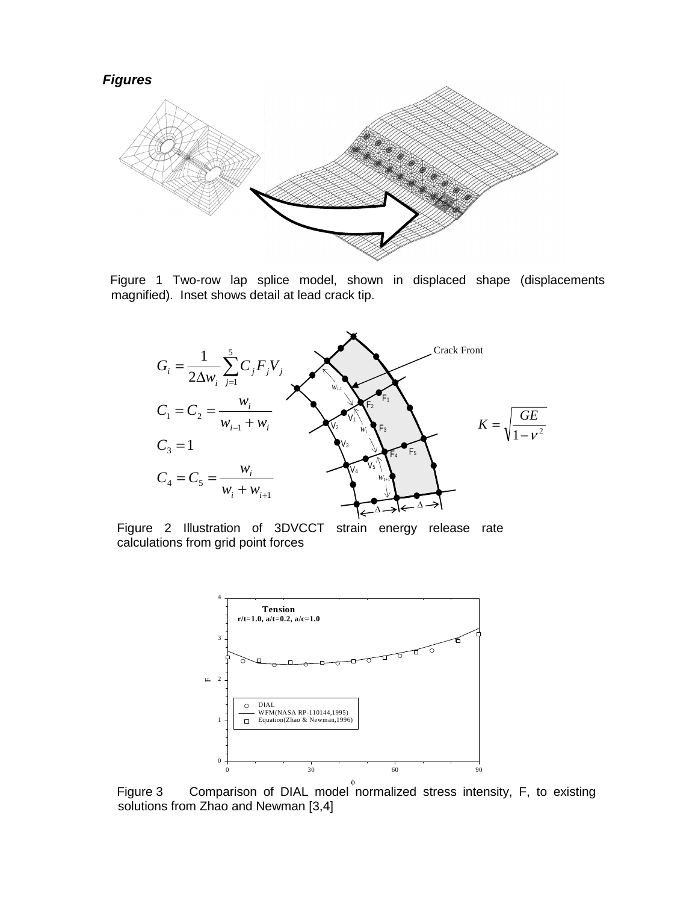

Figure 1 Two-row lap splice model, shown in displaced shape (displacements magnified). Inset shows detail at lead crack tip.



Figure 2 Illustration of 3DVCCT strain energy release rate calculations from grid point forces



Figure 3 Comparison of DIAL model normalized stress intensity, F, to existing solutions from Zhao and Newman [3,4]